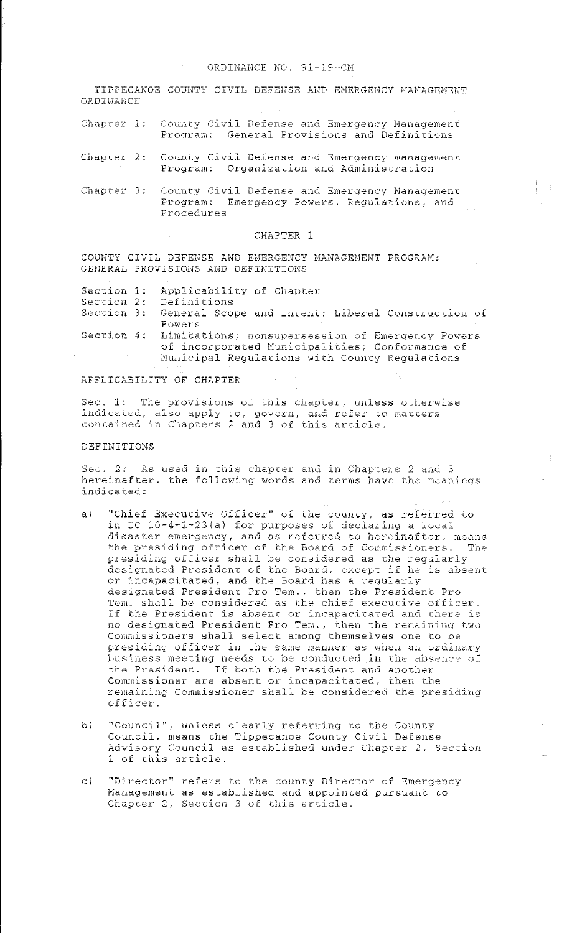TIPPECANOE COUNTY CIVIL DEFENSE AND EMERGENCY MANAGEMENT **ORDINANCE** 

- County Civil Defense and Emergency Management Chapter 1: Program: General Provisions and Definitions
- Chapter 2: County Civil Defense and Emergency management Program: Organization and Administration
- Chapter 3: County Civil Defense and Emergency Management Program: Emergency Powers, Regulations, and Procedures

#### CHAPTER 1

COUNTY CIVIL DEFENSE AND EMERGENCY MANAGEMENT PROGRAM: GENERAL PROVISIONS AND DEFINITIONS

- Section 1: Applicability of Chapter
- Section 2: Definitions
- Section 3: General Scope and Intent; Liberal Construction of Powers
- Limitations; nonsupersession of Emergency Powers Section 4: of incorporated Municipalities; Conformance of Municipal Regulations with County Regulations

## APPLICABILITY OF CHAPTER

Sec. 1: The provisions of this chapter, unless otherwise indicated, also apply to, govern, and refer to matters<br>contained in Chapters 2 and 3 of this article.

### DEFINITIONS

Sec. 2: As used in this chapter and in Chapters 2 and 3 hereinafter, the following words and terms have the meanings indicated:

- "Chief Executive Officer" of the county, as referred to  $\alpha$ ) in IC 10-4-1-23(a) for purposes of declaring a local disaster emergency, and as referred to hereinafter, means the presiding officer of the Board of Commissioners. The presiding officer shall be considered as the regularly designated President of the Board, except if he is absent or incapacitated, and the Board has a regularly designated President Pro Tem., then the President Pro<br>Tem. shall be considered as the chief executive officer. If the President is absent or incapacitated and there is no designated President Pro Tem., then the remaining two Commissioners shall select among themselves one to be presiding officer in the same manner as when an ordinary business meeting needs to be conducted in the absence of the President. If both the President and another Commissioner are absent or incapacitated, then the remaining Commissioner shall be considered the presiding officer.
- "Council", unless clearly referring to the County  $\mathbf{b}$ Council, means the Tippecanoe County Civil Defense Advisory Council as established under Chapter 2, Section 1 of this article.
- "Director" refers to the county Director of Emergency  $\in$ Management as established and appointed pursuant to Chapter 2, Section 3 of this article.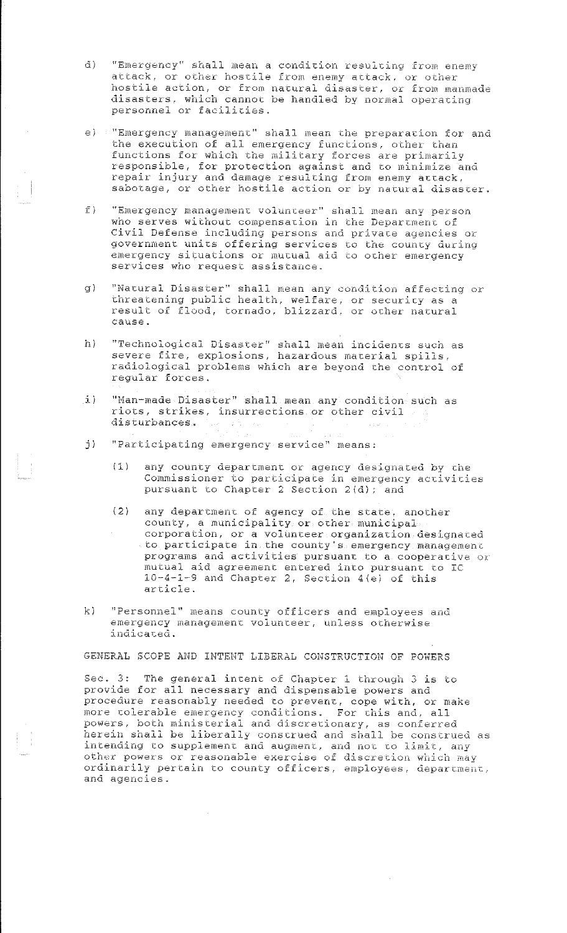- $\overline{d}$ ) "Emergency" shall mean a condition resulting from enemy attack, or other hostile from enemy attack, or other hostile action, or from natural disaster, or from manmade<br>disasters, which cannot be handled by normal operating personnel or facilities.
- e) "Emergency management" shall mean the preparation for and the execution of all emergency functions, other than functions for which the military forces are primarily responsible, for protection against and to minimize and repair injury and damage resulting from enemy attack, sabotage, or other hostile action or by natural disaster.
- "Emergency management volunteer" shall mean any person  $f$ ) who serves without compensation in the Department of Civil Defense including persons and private agencies or government units offering services to the county during<br>emergency situations or mutual aid to other emergency services who request assistance.
- "Natural Disaster" shall mean any condition affecting or  $q$ threatening public health, welfare, or security as a<br>result of flood, tornado, blizzard, or other natural cause.
- "Technological Disaster" shall mean incidents such as<br>severe fire, explosions, hazardous material spills,<br>radiological problems which are beyond the control of h) regular forces.
- "Man-made Disaster" shall mean any condition such as  $1)$ riots, strikes, insurrections or other civil and disturbances.  $\omega$  in the  $\omega$
- "Participating emergency service" means: j).
	- any county department or agency designated by the  $(1)$ Commissioner to participate in emergency activities pursuant to Chapter 2 Section 2(d); and
	- $(2)$ any department of agency of the state, another county, a municipality or other municipal corporation, or a volunteer organization designated to participate in the county's emergency management programs and activities pursuant to a cooperative or mutual aid agreement entered into pursuant to IC<br>10-4-1-9 and Chapter 2, Section 4(e) of this article.
- "Personnel" means county officers and employees and  $\kappa$ emergency management volunteer, unless otherwise indicated.

GENERAL SCOPE AND INTENT LIBERAL CONSTRUCTION OF POWERS

Sec. 3: The general intent of Chapter 1 through 3 is to provide for all necessary and dispensable powers and procedure reasonably needed to prevent, cope with, or make more tolerable emergency conditions. For this and, all powers, both ministerial and discretionary, as conferred herein shall be liberally construed and shall be construed as intending to supplement and augment, and not to limit, any other powers or reasonable exercise of discretion which may ordinarily pertain to county officers, employees, department, and agencies.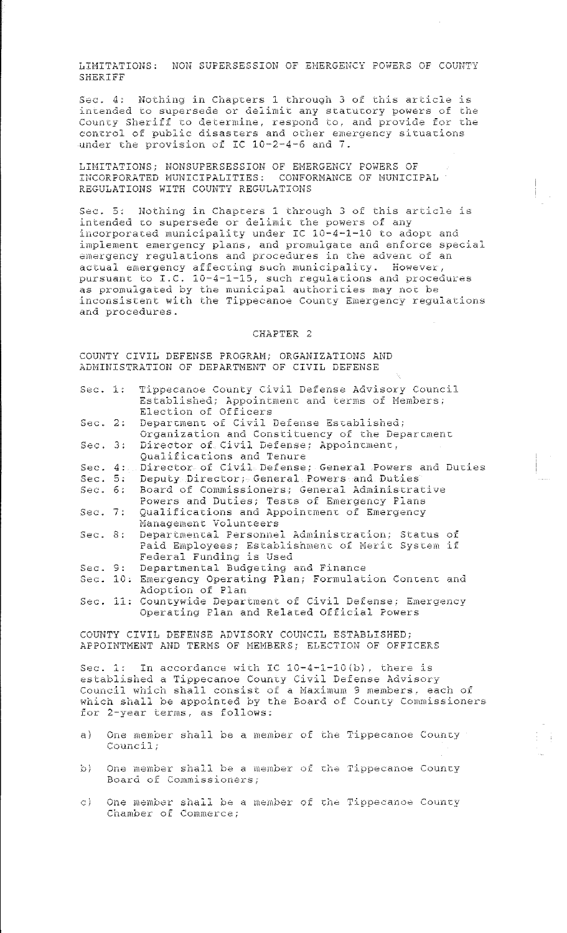LIMITATIONS: NON SUPERSESSION OF EMERGENCY POWERS OF COUNTY **SHERIFF** 

Sec. 4: Nothing in Chapters 1 through 3 of this article is intended to supersede or delimit any statutory powers of the County Sheriff to determine, respond to, and provide for the control of public disasters and other emergency situations under the provision of IC 10-2-4-6 and 7.

LIMITATIONS; NONSUPERSESSION OF EMERGENCY POWERS OF INCORPORATED MUNICIPALITIES: CONFORMANCE OF MUNICIPAL REGULATIONS WITH COUNTY REGULATIONS

Nothing in Chapters 1 through 3 of this article is  $Sec. 5:$ intended to supersede or delimit the powers of any incorporated municipality under IC 10-4-1-10 to adopt and implement emergency plans, and promulgate and enforce special emergency regulations and procedures in the advent of an actual emergency affecting such municipality. However,<br>pursuant to  $I.C. 10-4-1-15$ , such regulations and procedures as promulgated by the municipal authorities may not be inconsistent with the Tippecanoe County Emergency regulations and procedures.

### CHAPTER 2

COUNTY CIVIL DEFENSE PROGRAM; ORGANIZATIONS AND ADMINISTRATION OF DEPARTMENT OF CIVIL DEFENSE

| Sec. 1:                                            |  | Tippecanoe County Civil Defense Advisory Council<br>Established; Appointment and terms of Members;<br>Election of Officers |  |  |
|----------------------------------------------------|--|----------------------------------------------------------------------------------------------------------------------------|--|--|
| Sec. 2:                                            |  | Department of Civil Defense Established;<br>Organization and Constituency of the Department                                |  |  |
| Sec. 3:                                            |  | Director of Civil Defense; Appointment,<br>Qualifications and Tenure                                                       |  |  |
| Sec. $4:$                                          |  | Director of Civil Defense; General Powers and Ducies                                                                       |  |  |
| Sec. 5:                                            |  | Deputy Director; General Powers and Duties                                                                                 |  |  |
| Sec. 6:                                            |  | Board of Commissioners; General Administrative                                                                             |  |  |
|                                                    |  | Powers and Duties; Tests of Emergency Plans                                                                                |  |  |
| Sec. 7:                                            |  | Qualifications and Appointment of Emergency                                                                                |  |  |
|                                                    |  | Management Volunteers                                                                                                      |  |  |
| Sec. 8:                                            |  | Departmental Personnel Administration; Status of<br>Paid Employees; Establishment of Merit System if                       |  |  |
|                                                    |  | Federal Funding is Used                                                                                                    |  |  |
| Sec. 9:                                            |  | Departmental Budgeting and Finance                                                                                         |  |  |
|                                                    |  |                                                                                                                            |  |  |
|                                                    |  | Sec. 10: Emergency Operating Plan; Formulation Content and<br>Adoption of Plan                                             |  |  |
|                                                    |  | Sec. 11: Countywide Department of Civil Defense; Emergency                                                                 |  |  |
|                                                    |  | Operating Plan and Related Official Powers                                                                                 |  |  |
|                                                    |  |                                                                                                                            |  |  |
| COUNTY CIVIL DEFENSE ADVISORY COUNCIL ESTABLISHED: |  |                                                                                                                            |  |  |
|                                                    |  | APPOINTMENT AND TERMS OF MEMBERS; ELECTION OF OFFICERS                                                                     |  |  |
|                                                    |  | Sec. 1: In accordance with IC $10-4-1-10(b)$ , there is                                                                    |  |  |
|                                                    |  | established a Tippecanoe County Civil Defense Advisory                                                                     |  |  |
|                                                    |  | Council which shall consist of a Maximum 9 members, each of                                                                |  |  |
|                                                    |  | which shall be appointed by the Board of County Commissioners                                                              |  |  |
|                                                    |  | for 2-year terms, as follows:                                                                                              |  |  |
|                                                    |  |                                                                                                                            |  |  |
| $\alpha$ )                                         |  | One member shall be a member of the Tippecanoe County                                                                      |  |  |

- $Countil;$  $\circ$ ) One member shall be a member of the Tippecanoe County
- $\circ$ ) One member shall be a member of the Tippecanoe County Chamber of Commerce;

Board of Commissioners;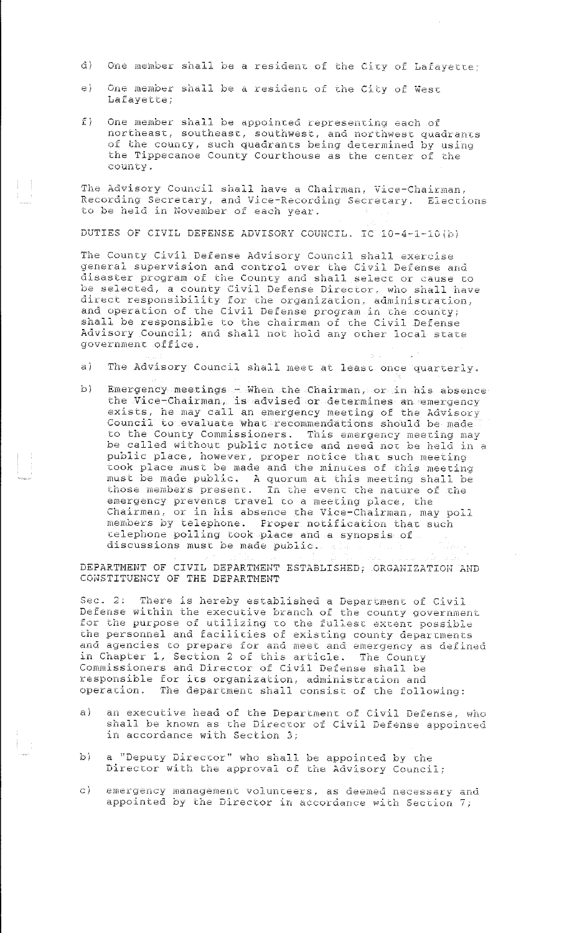- d) One member shall be a resident of the City of Lafayette;
- e) One member shall be a resident of the City of West Lafayette;
- $f$ ) One member shall be appointed representing each of northeasc, southeasc, southwest, and norchwesc quadrancs of the county, such quadrants being determined by using the Tippecanoe County Courthouse as the center of the councy.

The Advisory Council shall have a Chairman, Vice-Chairman, Recording Secrecary, and Vice-Recording Secrecary. Eleccions to be held in November of each year.

DUTIES OF CIVIL DEFENSE ADVISORY COUNCIL. IC 10-4-1-10(b)

The County Civil Defense Advisory Council shall exercise general supervision and control over the Civil Defense and disaster program of the County and shall select or cause to be selected, a county Civil Defense Director, who shall have direct responsibility for the organization, administration, and operation of the Civil Defense program in the county; shall be responsible to the chairman of the Civil Defense Advisory Council; and shall not hold any ocher local stace government office.

- a) The Advisory Council shall meec at lease once quarcerly.
- b) Emergency meetings When the Chairman, or in his absence the Vice-Chairman, is advised or determines an emergency exists, he may call an emergency meeting of the Advisory Council to evaluate what recommendations should be made to the County Commissioners. This emergency meeting may be called without public notice and need not be held in a public place, however, proper notice thac such meeting cook place must be made and the minuces of this meeting must be made public. A quorum at this meeting shall be those members presenc. In che evenc che nacure of che emergency prevents travel to a meeting place, the Chairman, or in his absence the Vice-Chairman, may poll members by telephone. Proper notification that such ~elephone polling cook place and a synopsis of discussions must be made public.

DEPARTMENT OF CIVIL DEPARTMENT ESTABLISHED; ORGANIZATIOH AND COHSTITUENCY OF THE DEPARTMENT

Sec. 2: There is hereby established a Department of Civil Defense within the executive branch of the councy government for the purpose of utilizing to the fullest extent possible the personnel and facilities of existing county departments and agencies to prepare for and meet and emergency as defined in Chapter 1, Section 2 of this article. The County Commissioners and Director of Civil Defense shall be responsible for ics organization, administracion and operacion. The departmenc shall consist of che following;

- a) an executive head of the Department of Civil Defense, who shall be known as che Director of Civil Defense appointed in accordance with Section 3;
- b) a "Deputy Director" who shall be appointed by the Director with the approval of the Advisory Council;
- c) emergency management volunteers, as deemed necessary and appointed by the Director in accordance with Section 7;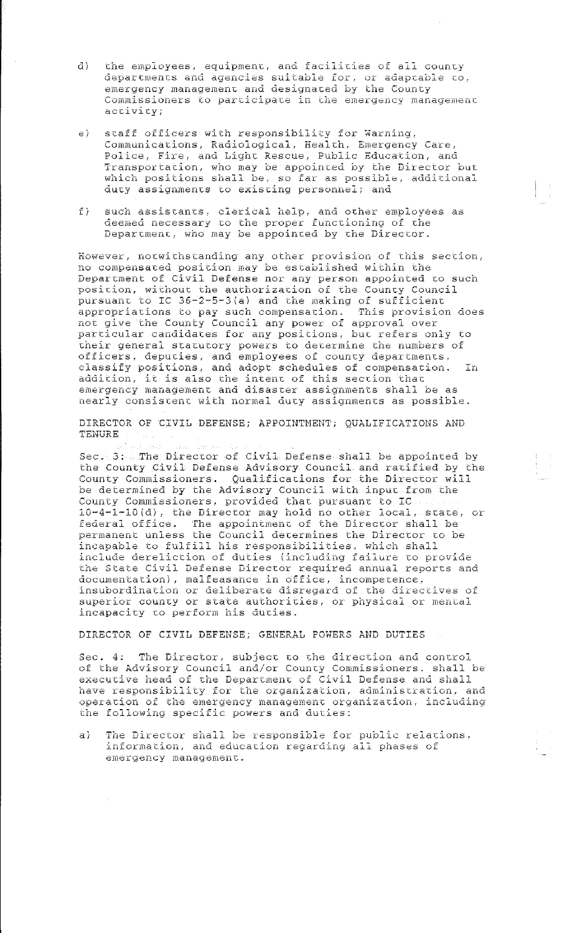- the employees, equipment, and facilities of all county đ) departments and agencies suitable for, or adaptable to, emergency management and designated by the County Commissioners to participate in the emergency management activity;
- $e$ ) staff officers with responsibility for Warning, Communications, Radiological, Health, Emergency Care, Police, Fire, and Light Rescue, Public Education, and Transportation, who may be appointed by the Director but which positions shall be, so far as possible, additional duty assignments to existing personnel; and
- such assistants, clerical help, and other employees as deemed necessary to the proper functioning of the  $\tilde{L}$ Department, who may be appointed by the Director.

However, notwithstanding any other provision of this section, no compensated position may be established within the Department of Civil Defense nor any person appointed to such position, without the authorization of the County Council pursuant to IC 36-2-5-3(a) and the making of sufficient<br>appropriations to pay such compensation. This provision does<br>not give the County Council any power of approval over<br>particular candidates for any positions, but refer their general statutory powers to determine the numbers of officers, deputies, and employees of county departments,<br>classify positions, and adopt schedules of compensation. **In** addition, it is also the intent of this section that emergency management and disaster assignments shall be as nearly consistent with normal duty assignments as possible.

DIRECTOR OF CIVIL DEFENSE; APPOINTMENT; QUALIFICATIONS AND TENURE

Sec. 3: The Director of Civil Defense shall be appointed by the County Civil Defense Advisory Council and ratified by the County Commissioners. Qualifications for the Director will be determined by the Advisory Council with input from the County Commissioners, provided that pursuant to IC 10-4-1-10(d), the Director may hold no other local, state, or federal office. The appointment of the Director shall be permanent unless the Council determines the Director to be incapable to fulfill his responsibilities, which shall include dereliction of duties (including failure to provide the State Civil Defense Director required annual reports and documentation), malfeasance in office, incompetence,<br>insubordination or deliberate disregard of the directives of superior county or state authorities, or physical or mental incapacity to perform his duties.

DIRECTOR OF CIVIL DEFENSE; GENERAL POWERS AND DUTIES

Sec. 4: The Director, subject to the direction and control of the Advisory Council and/or County Commissioners, shall be executive head of the Department of Civil Defense and shall have responsibility for the organization, administration, and operation of the emergency management organization, including the following specific powers and duties:

The Director shall be responsible for public relations,<br>information, and education regarding all phases of  $a)$ emergency management.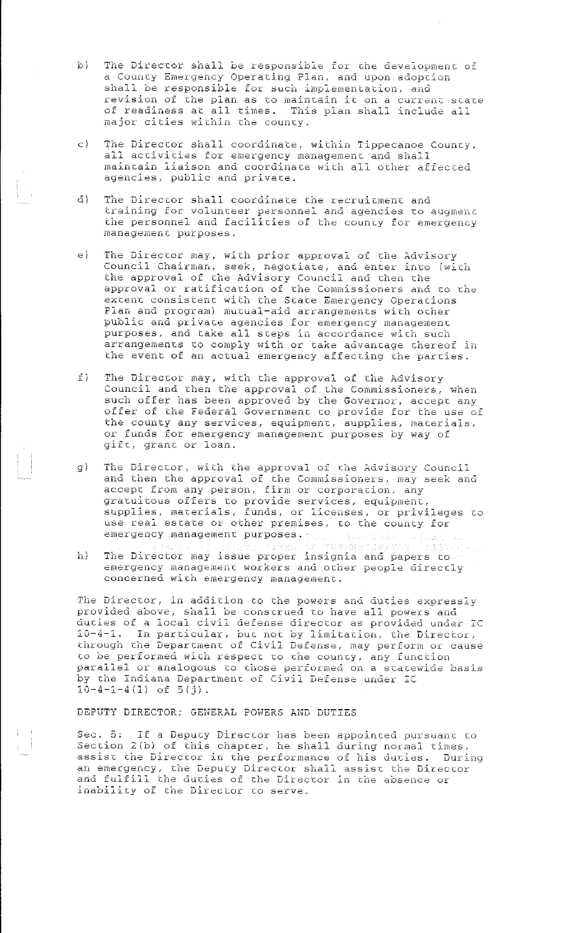- b) The Director shall be responsible for the development of a County Emergency Operating Plan, and upon adoption shall be responsible for such implementation, and revision of the plan as to maintain it on a current state of readiness at all times. This plan shall include all major cities within che councy.
- c) The Director shall coordinate, within Tippecanoe County, all accivicies for emergency managemenc and shall maincain liaison and coordinace with all other affecced agencies, public and private.
- d) The Direccor shall coordinate the recruicmenc and training for volunceer personnel and agencies co augmenc the personnel and facilities of the county for emergency managemenc purposes.
- e) The Director may, with prior approval of the Advisory Council Chairman, seek, negotiate, and enter into (with the approval of the Advisory Council and then che approval or ratification of the Commissioners and to the excenc consistenc with che State Emergency Operacions Plan and program) mutual-aid arrangements with other public and privace agencies for emergency managemenc purposes, and take all steps in accordance with such arrangemencs co comply wich or cake advancage chereof in the event of an actual emergency affecting the parties.
- f) The Director may, with the approval of the Advisory Council and then the approval of the Commissioners, when such offer has been approved by the Governor, accepc any offer of the Federal Governmenc co provide for the use of the county any services, equipment, supplies, materials, or funds for emergency managemenc purposes by way of gift, grant or loan.
- g) The Director, with the approval of the Advisory Council and then the approval of the Commissioners, may seek and accepc from any person, firm or corporation, any gratuitous offers to provide services, equipment, supplies, macerials, funds, or licenses, or privileges co use real estate or other premises, to the county for emergency management purposes.
- h) The Director may issue proper insignia and papers co emergency management workers and other people directly concerned with emergency management.

The Director, in addition to the powers and duties expressly provided above, shall be construed to have all powers and ducies of a local civil defense director as provided under IC 10-4-1. In particular, but not by limitation, the Director, through the Department of Civil Defense, may perform or cause to be performed with respect to the county, any function parallel or analogous to those performed on a statewide basis by che Indiana Deparcmenc of Civil Defense under IC 10-4-1-4(1) of 5(j).

DEPUTY DIRECTOR; GENERAL POWERS AND DUTIES

Sec. 5: If a Deputy Director has been appointed pursuant to Seccion 2(b) of this chapcer, he shall during normal cimes, assist the Director in the performance of his duties. During an emergency, the Deputy Director shall assist the Director and fulfill the duties of the Director in the absence or inability of the Director to serve.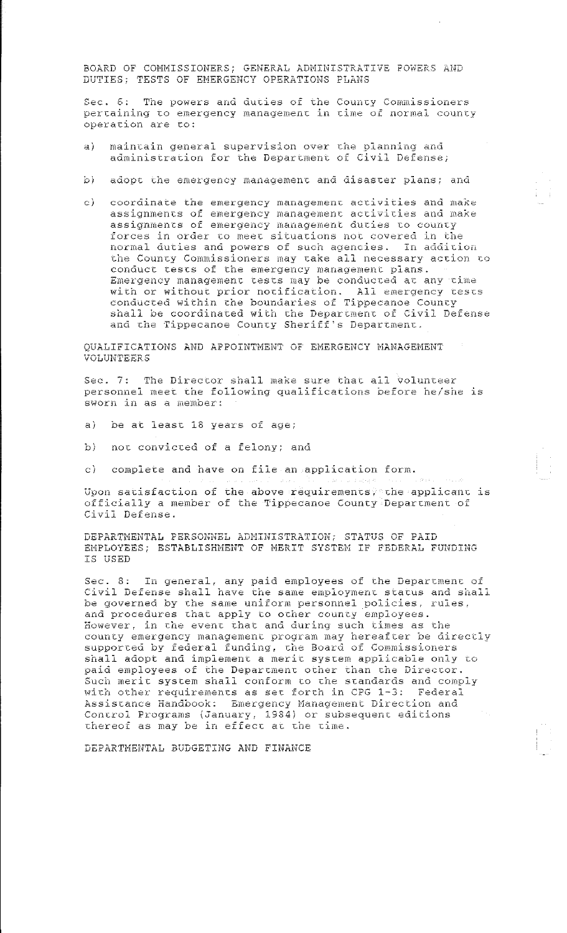BOARD OF COMMISSIONERS; GENERAL ADMINISTRATIVE POWERS AND DUTIES: TESTS OF EMERGENCY OPERATIONS PLANS

Sec. 6: The powers and duties of the County Commissioners pertaining to emergency management in time of normal county operation are to:

- $\overline{a}$ ) maintain general supervision over the planning and administration for the Department of Civil Defense;
- $D<sub>1</sub>$ adopt the emergency management and disaster plans; and
- coordinate the emergency management activities and make  $\in$ assignments of emergency management activities and make assignments of emergency management duties to county forces in order to meet situations not covered in the normal duties and powers of such agencies. In addition the County Commissioners may take all necessary action to conduct tests of the emergency management plans.<br>Emergency management tests may be conducted at any time with or without prior notification. All emergency tests conducted within the boundaries of Tippecanoe County shall be coordinated with the Department of Civil Defense and the Tippecanoe County Sheriff's Department.

QUALIFICATIONS AND APPOINTMENT OF EMERGENCY MANAGEMENT **VOLUNTEERS** 

Sec. 7: The Director shall make sure that all volunteer personnel meet the following qualifications before he/she is sworn in as a member:

- $a)$ be at least 18 years of age;
- not convicted of a felony; and  $\cap$ )

 $\in$   $\rangle$ complete and have on file an application form.

Upon satisfaction of the above requirements, the applicant is officially a member of the Tippecanoe County Department of Civil Defense.

DEPARTMENTAL PERSONNEL ADMINISTRATION; STATUS OF PAID EMPLOYEES; ESTABLISHMENT OF MERIT SYSTEM IF FEDERAL FUNDING **TS USED** 

Sec. 8: In general, any paid employees of the Department of<br>Civil Defense shall have the same employment status and shall be governed by the same uniform personnel policies, rules, and procedures that apply to other county employees. However, in the event that and during such times as the county emergency management program may hereafter be directly supported by federal funding, the Board of Commissioners shall adopt and implement a merit system applicable only to paid employees of the Department other than the Director. Such merit system shall conform to the standards and comply with other requirements as set forth in CPG 1-3: Federal Assistance Handbook: Emergency Management Direction and<br>Control Programs (January, 1984) or subsequent editions thereof as may be in effect at the time.

DEPARTMENTAL BUDGETING AND FINANCE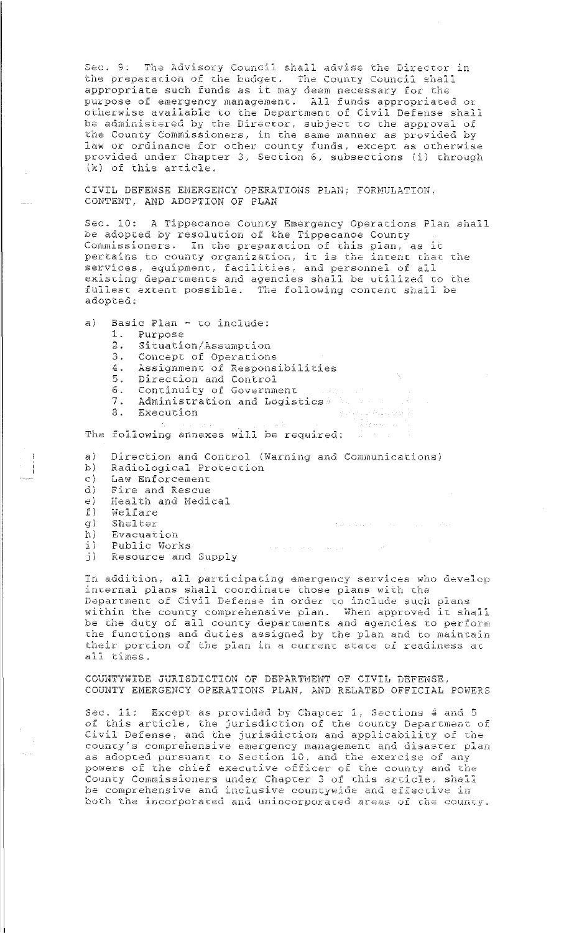Sec. 9: The Advisory Council shall advise the Director in the preparation of the budget. The County Council shall appropriate such funds as it may deem necessary for the purpose of emergency management. All funds appropriated or otherwise available to the Department of Civil Defense shall<br>be administered by the Director, subject to the approval of the County Commissioners, in the same manner as provided by law or ordinance for other county funds, except as otherwise provided under Chapter 3, Section 6, subsections (i) through (k) of this article.

CIVIL DEFENSE EMERGENCY OPERATIONS PLAN; FORMULATION, CONTENT, AND ADOPTION OF PLAN

Sec. 10: A Tippecanoe County Emergency Operations Plan shall be adopted by resolution of the Tippecanoe County Commissioners. In the preparation of this plan, as it pertains to county organization, it is the intent that the<br>services, equipment, facilities, and personnel of all<br>existing departments and agencies shall be utilized to the fullest extent possible. The following content shall be adopted.

- $a)$ Basic Plan - to include:
	- 1. Purpose
	- 2. Situation/Assumption
	- 3. Concept of Operations
	- 4. Assignment of Responsibilities<br>5. Direction and Control<br>6. Continuity of Government
	-
	-
	- 7. Administration and Logistics and any contract of the second state of the second state of the second state of
	- 8. Execution

The following annexes will be required:

Direction and Control (Warning and Communications)  $a)$ 

Angeles (19

 $\mathcal{F}(\mathcal{Q})$  is denoted by  $\mathcal{F}(\mathcal{Q})$  . The same in  $\mathcal{G}(\mathcal{Q})$ 

- Radiological Protection  $\mathbf{b}$ )
- Law Enforcement<br>Fire and Rescue  $C$ )
- d)
- Health and Medical  $\oplus$  )
- $E$ ) Welfare
- Shelter g).
- $h)$ Evacuation
- Public Works  $1)$
- Resource and Supply э) —

In addition, all participating emergency services who develop internal plans shall coordinate those plans with the Department of Civil Defense in order to include such plans within the county comprehensive plan. When approved it shall be the duty of all county departments and agencies to perform the functions and duties assigned by the plan and to maintain their portion of the plan in a current state of readiness at all times.

 $\hat{\sigma}(\hat{\rho})$  , and  $\hat{\sigma}$  , and  $\hat{\sigma}$ 

COUNTYWIDE JURISDICTION OF DEPARTMENT OF CIVIL DEFENSE, COUNTY EMERGENCY OPERATIONS PLAN, AND RELATED OFFICIAL POWERS

Sec. 11: Except as provided by Chapter 1, Sections 4 and 5 of this article, the jurisdiction of the county Department of Civil Defense, and the jurisdiction and applicability of the county's comprehensive emergency management and disaster plan as adopted pursuant to Section 10, and the exercise of any powers of the chief executive officer of the county and the County Commissioners under Chapter 3 of this article, shall be comprehensive and inclusive countywide and effective in both the incorporated and unincorporated areas of the county.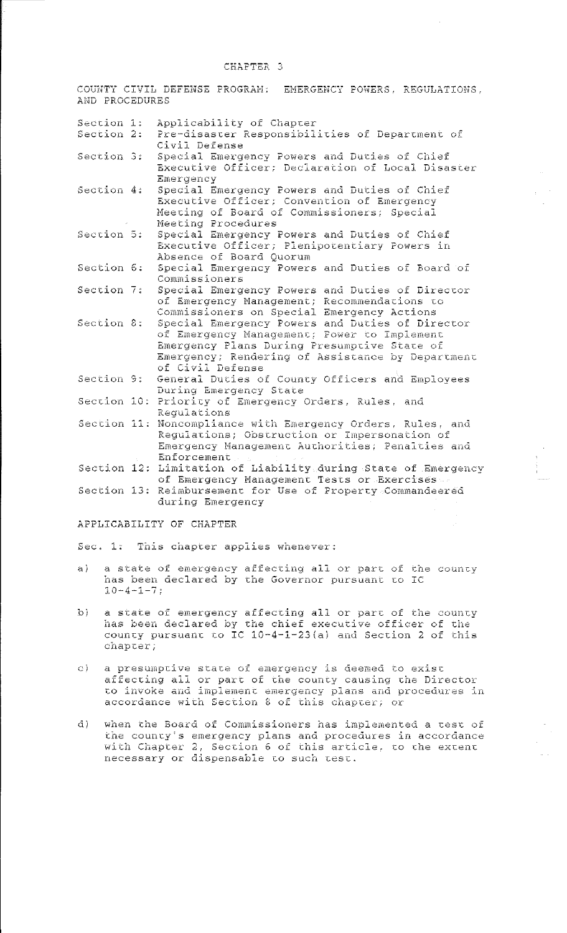## CHAPTER 3

COUNTY CIVIL DEFENSE PROGRAM: EMERGENCY POWERS, REGULATIONS, AND PROCEDURES

| Section 1:  | Applicability of Chapter                                    |
|-------------|-------------------------------------------------------------|
| Section 2:  | Pre-disaster Responsibilities of Department of              |
|             | Civil Defense                                               |
| Section 3:  | Special Emergency Powers and Duties of Chief                |
|             | Executive Officer; Declaration of Local Disaster            |
|             | Emergency                                                   |
| Section 4:  | Special Emergency Powers and Duties of Chief                |
|             | Executive Officer; Convention of Emergency                  |
|             | Meeting of Board of Commissioners; Special                  |
|             | Meeting Procedures                                          |
| Section 5:  | Special Emergency Powers and Duties of Chief                |
|             | Executive Officer; Plenipotentiary Powers in                |
|             | Absence of Board Quorum                                     |
| Section 6:  | Special Emergency Powers and Duties of Board of             |
|             | Commissioners                                               |
| Section 7:  | Special Emergency Powers and Duties of Director             |
|             | of Emergency Management; Recommendations to                 |
|             | Commissioners on Special Emergency Actions                  |
| Section 8:  | Special Emergency Powers and Duties of Director             |
|             | of Emergency Management; Power to Implement                 |
|             | Emergency Plans During Presumptive State of                 |
|             | Emergency; Rendering of Assistance by Department            |
|             | of Civil Defense                                            |
| Section 9:  | General Duties of County Officers and Employees             |
|             | During Emergency State                                      |
| Section 10: | Priority of Emergency Orders, Rules, and                    |
|             | Regulations                                                 |
|             | Section 11: Noncompliance with Emergency Orders, Rules, and |
|             | Regulations; Obstruction or Impersonation of                |
|             | Emergency Management Authorities; Penalties and             |
|             | Enforcement                                                 |
| Section 12: | Limitation of Liability during State of Emergency           |
|             | of Emergency Management Tests or Exercises                  |
|             | Section 13: Reimbursement for Use of Property Commandeered  |
|             | during Emergency                                            |
|             |                                                             |

# APPLICABILITY OF CHAPTER

Sec. 1: This chapter applies whenever:

- a state of emergency affecting all or part of the county a) has been declared by the Governor pursuant to IC  $10 - 4 - 1 - 7;$
- a state of emergency affecting all or part of the county<br>has been declared by the chief executive officer of the<br>county pursuant to IC  $10-4-1-23(a)$  and Section 2 of this  $\left\{ \cdot \right\}$ chapter;
- a presumptive state of emergency is deemed to exist C). affecting all or part of the county causing the Director<br>to invoke and implement emergency plans and procedures in<br>accordance with Section 8 of this chapter; or
- when the Board of Commissioners has implemented a test of  $d$ ) the county's emergency plans and procedures in accordance<br>with Chapter 2, Section 6 of this article, to the extent<br>necessary or dispensable to such test.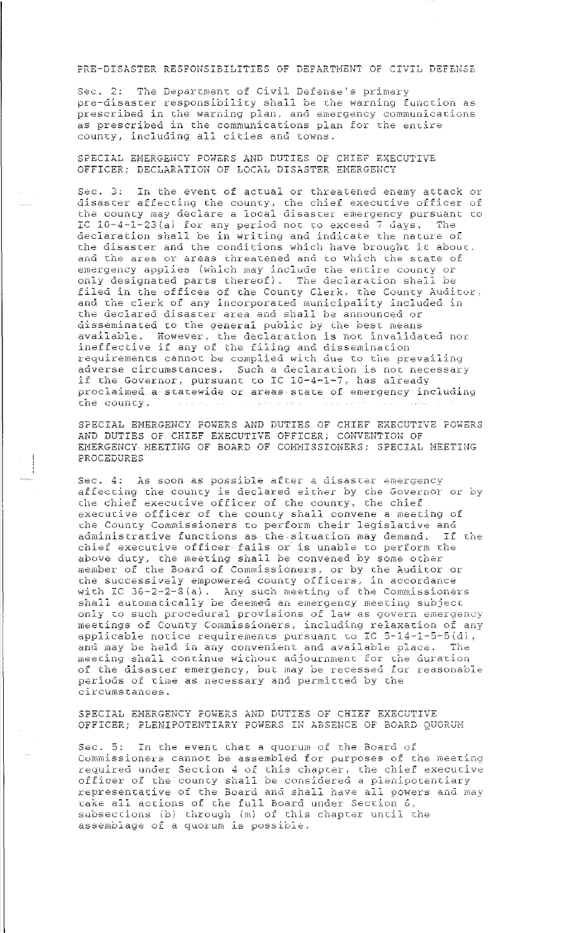# PRE-DISASTER RESPONSIBILITIES OF DEPARTMENT OF CIVIL DEFENSE

Sec. 2: The Department of Civil Defense's primary pre-disaster responsibility shall be the warning function as prescribed in the warning plan, and emergency communications as prescribed in the communications plan for the entire county, including all cities and towns.

SPECIAL EMERGENCY POWERS AND DUTIES OF CHIEF EXECUTIVE OFFICER; DECLARATION OF LOCAL DISASTER EMERGENCY

Sec. 3: In the event of actual or threatened enemy attack or disaster affecting the county, the chief executive officer of<br>the county may declare a local disaster emergency pursuant to IC 10-4-1-23(a) for any period not to exceed 7 days. The declaration shall be in writing and indicate the nature of the disaster and the conditions which have brought it about, and the area or areas threatened and to which the state of emergency applies (which may include the entire county or only designated parts thereof). The declaration shall be filed in the offices of the County Clerk, the County Auditor, and the clerk of any incorporated municipality included in the declared disaster area and shall be announced or disseminated to the general public by the best means<br>available. However, the declaration is not invalidated nor<br>ineffective if any of the filing and dissemination requirements cannot be complied with due to the prevailing adverse circumstances. Such a declaration is not necessary if the Governor, pursuant to IC 10-4-1-7, has already roclaimed a statewide or areas state of emergency including the county.

SPECIAL EMERGENCY POWERS AND DUTIES OF CHIEF EXECUTIVE POWERS AND DUTIES OF CHIEF EXECUTIVE OFFICER; CONVENTION OF EMERGENCY MEETING OF BOARD OF COMMISSIONERS; SPECIAL MEETING PROCEDURES

Sec. 4: As soon as possible after a disaster emergency affecting the county is declared either by the Governor or by the chief executive officer of the county, the chief executive officer of the county shall convene a meeting of the County Commissioners to perform their legislative and administrative functions as the situation may demand. If the chief executive officer fails or is unable to perform the above duty, the meeting shall be convened by some other member of the Board of Commissioners, or by the Auditor or<br>the successively empowered county officers, in accordance with IC 36-2-2-8(a). Any such meeting of the Commissioners<br>shall automatically be deemed an emergency meeting subject<br>only to such procedural provisions of law as govern emergency meetings of County Commissioners, including relaxation of any applicable notice requirements pursuant to IC 5-14-1-5-5(d), and may be held in any convenient and available place. The meeting shall continue without adjournment for the duration<br>of the disaster emergency, but may be recessed for reasonable periods of time as necessary and permitted by the circumstances.

SPECIAL EMERGENCY POWERS AND DUTIES OF CHIEF EXECUTIVE OFFICER; PLENIPOTENTIARY POWERS IN ABSENCE OF BOARD QUORUM

Sec. 5: In the event that a quorum of the Board of Commissioners cannot be assembled for purposes of the meeting required under Section 4 of this chapter, the chief executive<br>officer of the county shall be considered a plenipotentiary representative of the Board and shall have all powers and may take all actions of the full Board under Section 6,<br>subsections (b) through (m) of this chapter until the<br>assemblage of a quorum is possible.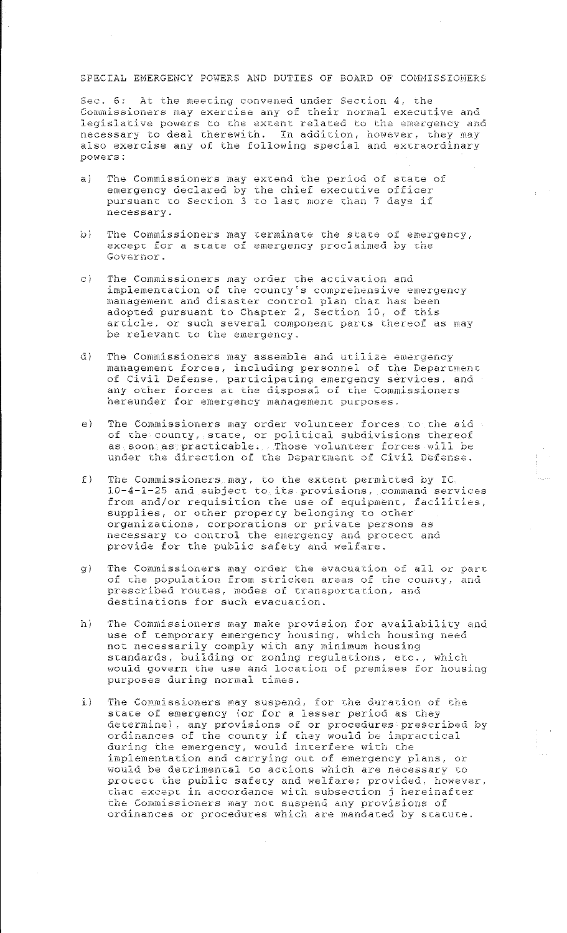# SPECIAL EMERGENCY POWERS AND DUTIES OF BOARD OF COMMISSIONERS

Sec. 6: At the meeting convened under Section 4, the Commissioners may exercise any of their normal executive and legislative powers to the extent related to the emergency and necessary to deal therewith. In addition, however, they may also exercise any of the following special and extraordinary powers:

- The Commissioners may extend the period of state of  $\approx$  1 emergency declared by the chief executive officer pursuant to Section 3 to last more than 7 days if necessary.
- $\mathcal{O}$ The Commissioners may terminate the state of emergency, except for a state of emergency proclaimed by the Governor.
- The Commissioners may order the activation and  $\sigma$ ) implementation of the county's comprehensive emergency management and disaster control plan that has been adopted pursuant to Chapter 2, Section 10, of this<br>article, or such several component parts thereof as may<br>be relevant to the emergency.
- $d$ ) The Commissioners may assemble and utilize emergency management forces, including personnel of the Department<br>of Civil Defense, participating emergency services, and<br>any other forces at the disposal of the Commissioners hereunder for emergency management purposes.
- $e)$ The Commissioners may order volunteer forces to the aid of the county, state, or political subdivisions thereof as soon as practicable. Those volunteer forces will be under the direction of the Department of Civil Defense.
- The Commissioners may, to the extent permitted by IC.<br> $10-4-1-25$  and subject to its provisions, command services  $\tau$ ) from and/or requisition the use of equipment, facilities, supplies, or other property belonging to other organizations, corporations or private persons as necessary to control the emergency and protect and provide for the public safety and welfare.
- The Commissioners may order the evacuation of all or part  $g$ ) of the population from stricken areas of the county, and prescribed routes, modes of transportation, and destinations for such evacuation.
- hì The Commissioners may make provision for availability and use of temporary emergency housing, which housing need not necessarily comply with any minimum housing standards, building or zoning regulations, etc., which would govern the use and location of premises for housing purposes during normal times.
- $\pm$ ) The Commissioners may suspend, for the duration of the state of emergency (or for a lesser period as they determine), any provisions of or procedures prescribed by ordinances of the county if they would be impractical<br>during the emergency, would interfere with the implementation and carrying out of emergency plans, or would be detrimental to actions which are necessary to protect the public safety and welfare; provided, however, that except in accordance with subsection j hereinafter the Commissioners may not suspend any provisions of ordinances or procedures which are mandated by statute.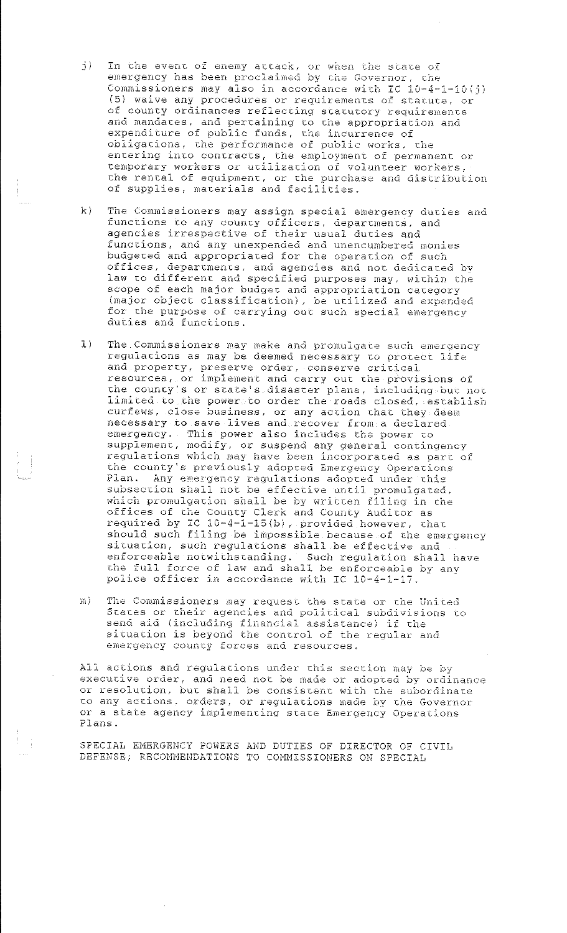- In the event of enemy attack, or when the state of emergency has been proclaimed by the Governor, the  $j$ ) Commissioners may also in accordance with IC 10-4-1-10(j) (5) waive any procedures or requirements of statute, or of county ordinances reflecting statutory requirements and mandates, and pertaining to the appropriation and expenditure of public funds, the incurrence of obligations, the performance of public works, the entering into contracts, the employment of permanent or<br>temporary workers or utilization of volunteer workers, the rental of equipment, or the purchase and distribution of supplies, materials and facilities.
- The Commissioners may assign special emergency duties and  $k$ functions to any county officers, departments, and agencies irrespective of their usual duties and functions, and any unexpended and unencumbered monies budgeted and appropriated for the operation of such<br>offices, departments, and agencies and not dedicated by<br>law to different and specified purposes may, within the scope of each major budget and appropriation category (major object classification), be utilized and expended for the purpose of carrying out such special emergency duties and functions.
- The Commissioners may make and promulgate such emergency  $\mathbf{L}$ ) regulations as may be deemed necessary to protect life and property, preserve order, conserve critical<br>resources, or implement and carry out the provisions of the county's or state's disaster plans, including but not limited to the power to order the roads closed, establish curfews, close business, or any action that they deem<br>necessary to save lives and recover from a declared emergency. This power also includes the power to supplement, modify, or suspend any general contingency regulations which may have been incorporated as part of the county's previously adopted Emergency Operations Plan. Any emergency regulations adopted under this<br>subsection shall not be effective until promulgated, which promulgation shall be by written filing in the offices of the County Clerk and County Auditor as<br>required by IC 10-4-1-15(b), provided however, that<br>should such filing be impossible because of the emergency situation, such regulations shall be effective and enforceable notwithstanding. Such regulation shall have the full force of law and shall be enforceable by any police officer in accordance with IC 10-4-1-17.
- The Commissioners may request the state or the United m) States or their agencies and political subdivisions to send aid (including financial assistance) if the<br>situation is beyond the control of the regular and<br>emergency county forces and resources.

All actions and regulations under this section may be by executive order, and need not be made or adopted by ordinance<br>or resolution, but shall be consistent with the subordinate to any actions, orders, or regulations made by the Governor or a state agency implementing state Emergency Operations Plans.

SPECIAL EMERGENCY POWERS AND DUTIES OF DIRECTOR OF CIVIL DEFENSE; RECOMMENDATIONS TO COMMISSIONERS ON SPECIAL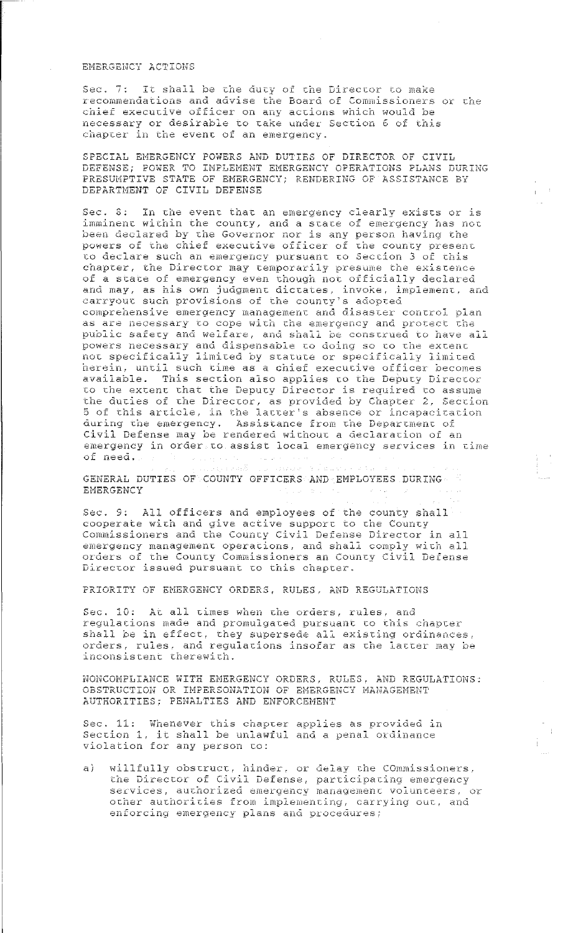# EMERGENCY ACTIONS

Sec. 7: It shall be the duty of the Director to make recommendations and advise the Board of Commissioners or the chief executive officer on any actions which would be necessary or desirable to take under Section 6 of this chapter in the event of an emergency.

SPECIAL EMERGENCY POWERS AND DUTIES OF DIRECTOR OF CIVIL DEFENSE; POWER TO IMPLEMENT EMERGENCY OPERATIONS PLANS DURING PRESUMPTIVE STATE OF EMERGENCY; RENDERING OF ASSISTANCE BY DEPARTMENT OF CIVIL DEFENSE

Sec. S: In the event that an emergency clearly exists or is imminent within the county, and a state of emergency has not been declared by the Governor nor is any person having the powers of the chief executive officer of the county present to declare such an emergency pursuant to Section 3 of this chapter, the Director may temporarily presume the existence of a state of emergency even though not officially declared and may, as his own judgment dictates, invoke, implement, and carryout such provisions of the county's adopted comprehensive emergency management and disaster control plan as are necessary to cope with the emergency and protect the public safety and welfare, and shall be construed to have all powers necessary and dispensable to doing so to the extent not specifically limited by statute or specifically limited herein, until such time as a chief executive officer becomes available. This section also applies to the Deputy Director to the extent that the Deputy Director is required to assume the duties of the Director, as provided by Chapter 2, Section 5 of this article, in the latter's absence or incapacitation during the emergency. Assistance from the Department of Civil Defense may be rendered without a declaration of an emergency in ordersto assist local emergency services in time of need.

GENERAL DUTIES OF COUNTY OFFICERS AND EMPLOYEES DURING **EMERGENCY** 

**Contractor** 

Resources

Sec. 9: All officers and employees of the county shall cooperate with and give active support to the County Commissioners and the County Civil Defense Director in all emergency management operations, and shall comply with all orders of the County Commissioners an County Civil Defense Director issued pursuant to this chapter.

PRIORITY OF EMERGENCY ORDERS, RULES, AND REGULATIONS

Sec. 10: At all times when the orders, rules, and regulations made and promulgated pursuant to this chapter shall be in effect, they supersede all existing ordinances, orders, rules, and regulations insofar as the latter may be inconsistent therewith.

NONCOMPLIANCE WITH EMERGENCY ORDERS, RULES, AND REGULATIONS: OBSTRUCTION OR IMPERSONATION OF EMERGENCY MANAGEMENT AUTHORITIES; PENALTIES AND ENFORCEMENT

Sec. 11: Whenever this chapter applies as provided in Section 1, it shall be unlawful and a penal ordinance violation for any person to:

willfully obstruct, hinder, or delay the COmmissioners,  $a)$ the Director of Civil Defense, participating emergency services, authorized emergency management volunteers, or other authorities from implementing, carrying out, and enforcing emergency plans and procedures;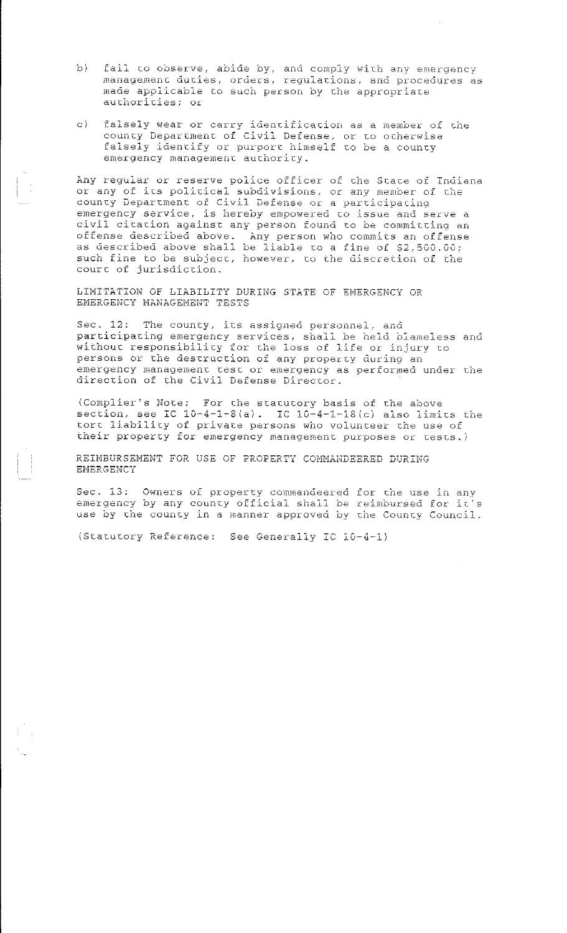- fail to observe, abide by, and comply with any emergency<br>management duties, orders, regulations, and procedures as  $b$ ) made applicable to such person by the appropriate authorities; or
- falsely wear or carry identification as a member of the county Department of Civil Defense, or to otherwise  $\mathbb{C}$ falsely identify or purport himself to be a county emergency management authority.

Any regular or reserve police officer of the State of Indiana<br>or any of its political subdivisions, or any member of the county Department of Civil Defense or a participating emergency service, is hereby empowered to issue and serve a civil citation against any person found to be committing an offense described above. Any person who commits an offense as described above shall be liable to a fine of \$2,500.00; such fine to be subject, however, to the discretion of the court of jurisdiction.

LIMITATION OF LIABILITY DURING STATE OF EMERGENCY OR EMERGENCY MANAGEMENT TESTS

Sec. 12: The county, its assigned personnel, and participating emergency services, shall be held blameless and without responsibility for the loss of life or injury to persons or the destruction of any property during an emergency management test or emergency as performed under the direction of the Civil Defense Director.

(Complier's Note: For the statutory basis of the above section, see IC  $10-4-1-8(a)$ . IC  $10-4-1-18(c)$  also limits the tort liability of private persons who volunteer the use of their property for emergency management purposes or tests.)

REIMBURSEMENT FOR USE OF PROPERTY COMMANDEERED DURING EMERGENCY

Sec. 13: Owners of property commandeered for the use in any emergency by any county official shall be reimbursed for it's use by the county in a manner approved by the County Council.

(Statutory Reference: See Generally IC 10-4-1)